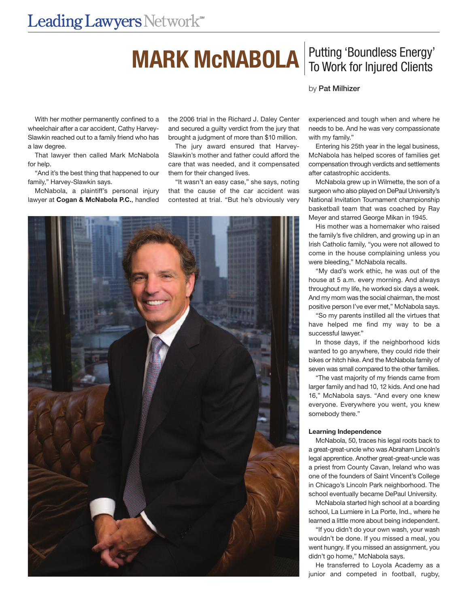## **MARK MCNABOLA** To Work for Injured Clients

# To Work for Injured Clients

by Pat Milhizer

## With her mother permanently confined to a wheelchair after a car accident, Cathy Harvey-Slawkin reached out to a family friend who has a law degree.

That lawyer then called Mark McNabola for help.

"And it's the best thing that happened to our family," Harvey-Slawkin says.

McNabola, a plaintiff's personal injury lawyer at **Cogan & McNabola P.C.**, handled

the 2006 trial in the Richard J. Daley Center and secured a guilty verdict from the jury that brought a judgment of more than \$10 million.

The jury award ensured that Harvey-Slawkin's mother and father could afford the care that was needed, and it compensated them for their changed lives.

"It wasn't an easy case," she says, noting that the cause of the car accident was contested at trial. "But he's obviously very



experienced and tough when and where he needs to be. And he was very compassionate with my family."

Entering his 25th year in the legal business, McNabola has helped scores of families get compensation through verdicts and settlements after catastrophic accidents.

McNabola grew up in Wilmette, the son of a surgeon who also played on DePaul University's National Invitation Tournament championship basketball team that was coached by Ray Meyer and starred George Mikan in 1945.

His mother was a homemaker who raised the family's five children, and growing up in an Irish Catholic family, "you were not allowed to come in the house complaining unless you were bleeding," McNabola recalls.

"My dad's work ethic, he was out of the house at 5 a.m. every morning. And always throughout my life, he worked six days a week. And my mom was the social chairman, the most positive person I've ever met," McNabola says.

"So my parents instilled all the virtues that have helped me find my way to be a successful lawyer."

In those days, if the neighborhood kids wanted to go anywhere, they could ride their bikes or hitch hike. And the McNabola family of seven was small compared to the other families.

"The vast majority of my friends came from larger family and had 10, 12 kids. And one had 16," McNabola says. "And every one knew everyone. Everywhere you went, you knew somebody there."

### **Learning Independence**

McNabola, 50, traces his legal roots back to a great-great-uncle who was Abraham Lincoln's legal apprentice. Another great-great-uncle was a priest from County Cavan, Ireland who was one of the founders of Saint Vincent's College in Chicago's Lincoln Park neighborhood. The school eventually became DePaul University.

McNabola started high school at a boarding school, La Lumiere in La Porte, Ind., where he learned a little more about being independent.

"If you didn't do your own wash, your wash wouldn't be done. If you missed a meal, you went hungry. If you missed an assignment, you didn't go home," McNabola says.

He transferred to Loyola Academy as a junior and competed in football, rugby,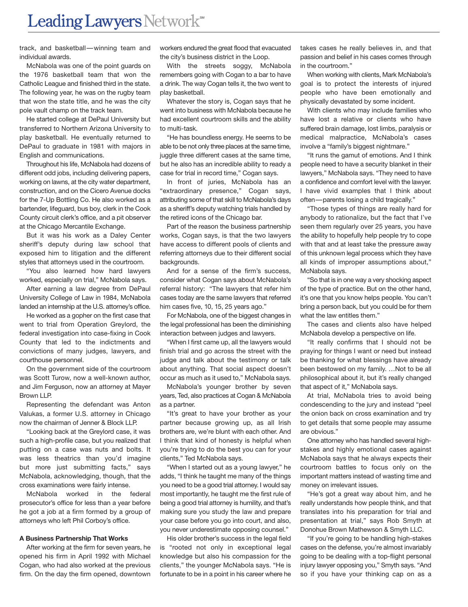track, and basketball—winning team and individual awards.

McNabola was one of the point guards on the 1976 basketball team that won the Catholic League and finished third in the state. The following year, he was on the rugby team that won the state title, and he was the city pole vault champ on the track team.

He started college at DePaul University but transferred to Northern Arizona University to play basketball. He eventually returned to DePaul to graduate in 1981 with majors in English and communications.

Throughout his life, McNabola had dozens of different odd jobs, including delivering papers, working on lawns, at the city water department, construction, and on the Cicero Avenue docks for the 7-Up Bottling Co. He also worked as a bartender, lifeguard, bus boy, clerk in the Cook County circuit clerk's office, and a pit observer at the Chicago Mercantile Exchange.

But it was his work as a Daley Center sheriff's deputy during law school that exposed him to litigation and the different styles that attorneys used in the courtroom.

"You also learned how hard lawyers worked, especially on trial," McNabola says.

After earning a law degree from DePaul University College of Law in 1984, McNabola landed an internship at the U.S. attorney's office.

He worked as a gopher on the first case that went to trial from Operation Greylord, the federal investigation into case-fixing in Cook County that led to the indictments and convictions of many judges, lawyers, and courthouse personnel.

On the government side of the courtroom was Scott Turow, now a well-known author, and Jim Ferguson, now an attorney at Mayer Brown LLP.

Representing the defendant was Anton Valukas, a former U.S. attorney in Chicago now the chairman of Jenner & Block LLP.

"Looking back at the Greylord case, it was such a high-profile case, but you realized that putting on a case was nuts and bolts. It was less theatrics than you'd imagine but more just submitting facts," says McNabola, acknowledging, though, that the cross examinations were fairly intense.

McNabola worked in the federal prosecutor's office for less than a year before he got a job at a firm formed by a group of attorneys who left Phil Corboy's office.

#### **A Business Partnership That Works**

After working at the firm for seven years, he opened his firm in April 1992 with Michael Cogan, who had also worked at the previous firm. On the day the firm opened, downtown workers endured the great flood that evacuated the city's business district in the Loop.

With the streets soggy, McNabola remembers going with Cogan to a bar to have a drink. The way Cogan tells it, the two went to play basketball.

Whatever the story is, Cogan says that he went into business with McNabola because he had excellent courtroom skills and the ability to multi-task.

"He has boundless energy. He seems to be able to be not only three places at the same time, juggle three different cases at the same time, but he also has an incredible ability to ready a case for trial in record time," Cogan says.

In front of juries, McNabola has an "extraordinary presence," Cogan says, attributing some of that skill to McNabola's days as a sheriff's deputy watching trials handled by the retired icons of the Chicago bar.

Part of the reason the business partnership works, Cogan says, is that the two lawyers have access to different pools of clients and referring attorneys due to their different social backgrounds.

And for a sense of the firm's success, consider what Cogan says about McNabola's referral history: "The lawyers that refer him cases today are the same lawyers that referred him cases five, 10, 15, 25 years ago."

For McNabola, one of the biggest changes in the legal professional has been the diminishing interaction between judges and lawyers.

"When I first came up, all the lawyers would finish trial and go across the street with the judge and talk about the testimony or talk about anything. That social aspect doesn't occur as much as it used to," McNabola says.

McNabola's younger brother by seven years, Ted, also practices at Cogan & McNabola as a partner.

"It's great to have your brother as your partner because growing up, as all Irish brothers are, we're blunt with each other. And I think that kind of honesty is helpful when you're trying to do the best you can for your clients," Ted McNabola says.

"When I started out as a young lawyer," he adds, "I think he taught me many of the things you need to be a good trial attorney. I would say most importantly, he taught me the first rule of being a good trial attorney is humility, and that's making sure you study the law and prepare your case before you go into court, and also, you never underestimate opposing counsel."

His older brother's success in the legal field is "rooted not only in exceptional legal knowledge but also his compassion for the clients," the younger McNabola says. "He is fortunate to be in a point in his career where he

takes cases he really believes in, and that passion and belief in his cases comes through in the courtroom."

When working with clients, Mark McNabola's goal is to protect the interests of injured people who have been emotionally and physically devastated by some incident.

With clients who may include families who have lost a relative or clients who have suffered brain damage, lost limbs, paralysis or medical malpractice, McNabola's cases involve a "family's biggest nightmare."

"It runs the gamut of emotions. And I think people need to have a security blanket in their lawyers," McNabola says. "They need to have a confidence and comfort level with the lawyer. I have vivid examples that I think about often—parents losing a child tragically."

"Those types of things are really hard for anybody to rationalize, but the fact that I've seen them regularly over 25 years, you have the ability to hopefully help people try to cope with that and at least take the pressure away of this unknown legal process which they have all kinds of improper assumptions about," McNabola says.

"So that is in one way a very shocking aspect of the type of practice. But on the other hand, it's one that you know helps people. You can't bring a person back, but you could be for them what the law entitles them."

The cases and clients also have helped McNabola develop a perspective on life.

"It really confirms that I should not be praying for things I want or need but instead be thanking for what blessings have already been bestowed on my family. …Not to be all philosophical about it, but it's really changed that aspect of it," McNabola says.

At trial, McNabola tries to avoid being condescending to the jury and instead "peel the onion back on cross examination and try to get details that some people may assume are obvious."

One attorney who has handled several highstakes and highly emotional cases against McNabola says that he always expects their courtroom battles to focus only on the important matters instead of wasting time and money on irrelevant issues.

"He's got a great way about him, and he really understands how people think, and that translates into his preparation for trial and presentation at trial," says Rob Smyth at Donohue Brown Mathewson & Smyth LLC.

"If you're going to be handling high-stakes cases on the defense, you're almost invariably going to be dealing with a top-flight personal injury lawyer opposing you," Smyth says. "And so if you have your thinking cap on as a